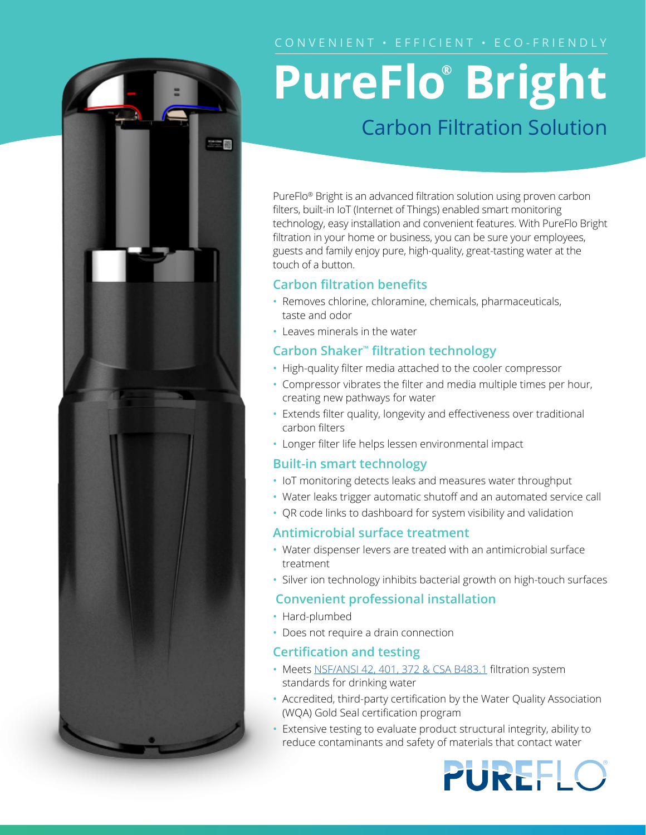# 器

# **PureFlo® Bright** Carbon Filtration Solution

PureFlo® Bright is an advanced filtration solution using proven carbon filters, built-in IoT (Internet of Things) enabled smart monitoring technology, easy installation and convenient features. With PureFlo Bright filtration in your home or business, you can be sure your employees, guests and family enjoy pure, high-quality, great-tasting water at the touch of a button.

## **Carbon filtration benefits**

- Removes chlorine, chloramine, chemicals, pharmaceuticals, taste and odor
- Leaves minerals in the water

## **Carbon Shaker™ filtration technology**

- High-quality filter media attached to the cooler compressor
- Compressor vibrates the filter and media multiple times per hour, creating new pathways for water
- Extends filter quality, longevity and effectiveness over traditional carbon filters
- Longer filter life helps lessen environmental impact

### **Built-in smart technology**

- IoT monitoring detects leaks and measures water throughput
- Water leaks trigger automatic shutoff and an automated service call
- QR code links to dashboard for system visibility and validation

### **Antimicrobial surface treatment**

- Water dispenser levers are treated with an antimicrobial surface treatment
- Silver ion technology inhibits bacterial growth on high-touch surfaces

### **Convenient professional installation**

- Hard-plumbed
- Does not require a drain connection

### **Certification and testing**

- Meets [NSF/ANSI 42, 401](http://water.com/water-ﬁltration-equipment-rental#water-quality-standards), 372 & CSA B483.1 filtration system standards for drinking water
- Accredited, third-party certification by the Water Quality Association (WQA) Gold Seal certification program
- Extensive testing to evaluate product structural integrity, ability to reduce contaminants and safety of materials that contact water